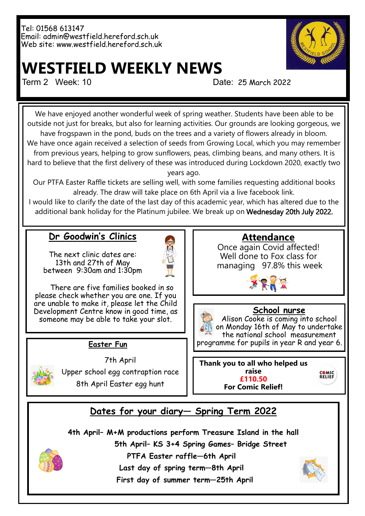Tel: 01568 613147 Email: admin@westfield.hereford.sch.uk Web site: www.westfield.hereford.sch.uk



# **WESTFIELD WEEKLY NEWS**

Term 2 Week: 10 Date: 25 March 2022

We have enjoyed another wonderful week of spring weather. Students have been able to be outside not just for breaks, but also for learning activities. Our grounds are looking gorgeous, we have frogspawn in the pond, buds on the trees and a variety of flowers already in bloom. We have once again received a selection of seeds from Growing Local, which you may remember from previous years, helping to grow sunflowers, peas, climbing beans, and many others. It is hard to believe that the first delivery of these was introduced during Lockdown 2020, exactly two

years ago.

Our PTFA Easter Raffle tickets are selling well, with some families requesting additional books already. The draw will take place on 6th April via a live facebook link.

I would like to clarify the date of the last day of this academic year, which has altered due to the additional bank holiday for the Platinum jubilee. We break up on Wednesday 20th July 2022.

#### **Dr Goodwin's Clinics**

The next clinic dates are: 13th and 27th of May between 9:30am and 1:30pm



 There are five families booked in so please check whether you are one. If you are unable to make it, please let the Child Development Centre know in good time, as someone may be able to take your slot.

#### **Easter Fun**



7th April Upper school egg contraption race 8th April Easter egg hunt

#### **Attendance**

Once again Covid affected! Well done to Fox class for managing 97.8% this week



## **School nurse**

Alison Cooke is coming into school on Monday 16th of May to undertake the national school measurement programme for pupils in year R and year 6.

**Thank you to all who helped us raise £110.50 For Comic Relief!**

### **Dates for your diary— Spring Term 2022**

**4th April– M+M productions perform Treasure Island in the hall**

**5th April– KS 3+4 Spring Games– Bridge Street** 



**Last day of spring term—8th April**

 **First day of summer term—25th April**



COMIC<br>RELIEF